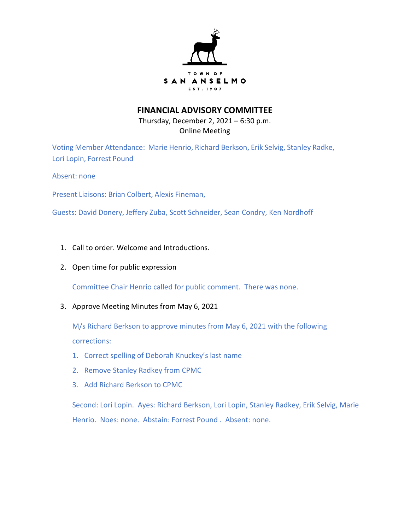

## **FINANCIAL ADVISORY COMMITTEE**

Thursday, December 2, 2021 – 6:30 p.m. Online Meeting

Voting Member Attendance: Marie Henrio, Richard Berkson, Erik Selvig, Stanley Radke, Lori Lopin, Forrest Pound

Absent: none

Present Liaisons: Brian Colbert, Alexis Fineman,

Guests: David Donery, Jeffery Zuba, Scott Schneider, Sean Condry, Ken Nordhoff

- 1. Call to order. Welcome and Introductions.
- 2. Open time for public expression

Committee Chair Henrio called for public comment. There was none.

3. Approve Meeting Minutes from May 6, 2021

M/s Richard Berkson to approve minutes from May 6, 2021 with the following corrections:

- 1. Correct spelling of Deborah Knuckey's last name
- 2. Remove Stanley Radkey from CPMC
- 3. Add Richard Berkson to CPMC

Second: Lori Lopin. Ayes: Richard Berkson, Lori Lopin, Stanley Radkey, Erik Selvig, Marie Henrio. Noes: none. Abstain: Forrest Pound . Absent: none.